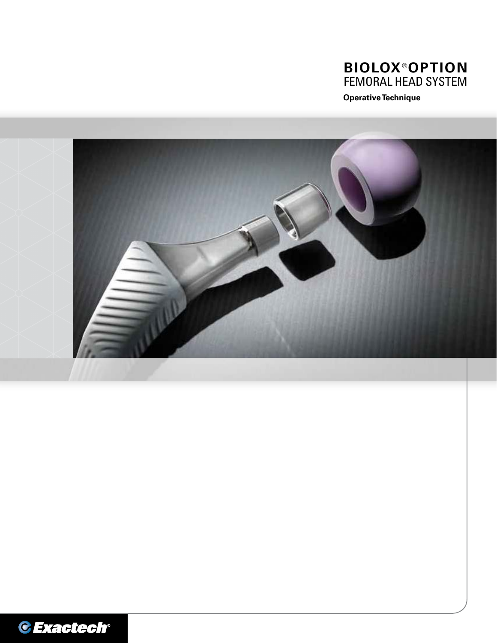

**Operative Technique**



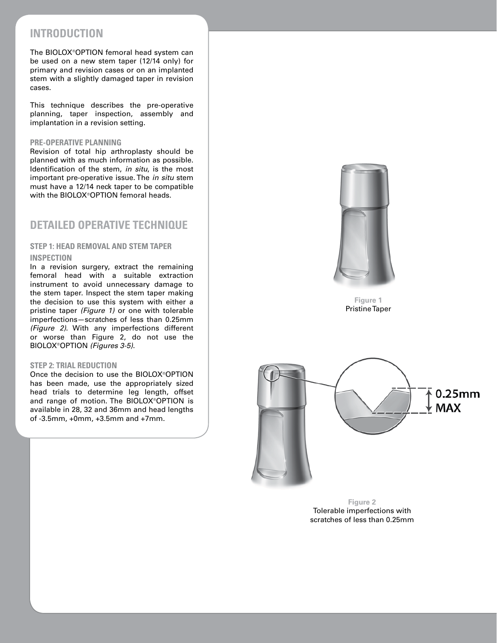## **INTRODUCTION**

The BIOLOX®OPTION femoral head system can be used on a new stem taper (12/14 only) for primary and revision cases or on an implanted stem with a slightly damaged taper in revision cases.

This technique describes the pre-operative planning, taper inspection, assembly and implantation in a revision setting.

#### **PRE-OPERATIVE PLANNING**

Revision of total hip arthroplasty should be planned with as much information as possible. Identification of the stem, *in situ*, is the most important pre-operative issue. The *in situ* stem must have a 12/14 neck taper to be compatible with the BIOLOX®OPTION femoral heads.

## **DETAILED OPERATIVE TECHNIQUE**

### **STEP 1: HEAD REMOVAL AND STEM TAPER INSPECTION**

In a revision surgery, extract the remaining femoral head with a suitable extraction instrument to avoid unnecessary damage to the stem taper. Inspect the stem taper making the decision to use this system with either a pristine taper *(Figure 1)* or one with tolerable imperfections—scratches of less than 0.25mm *(Figure 2)*. With any imperfections different or worse than Figure 2, do not use the BIOLOX®OPTION *(Figures 3-5)*.

### **STEP 2: TRIAL REDUCTION**

Once the decision to use the BIOLOX®OPTION has been made, use the appropriately sized head trials to determine leg length, offset and range of motion. The BIOLOX®OPTION is available in 28, 32 and 36mm and head lengths of -3.5mm, +0mm, +3.5mm and +7mm.



**Figure 1** Pristine Taper



**Figure 2** Tolerable imperfections with scratches of less than 0.25mm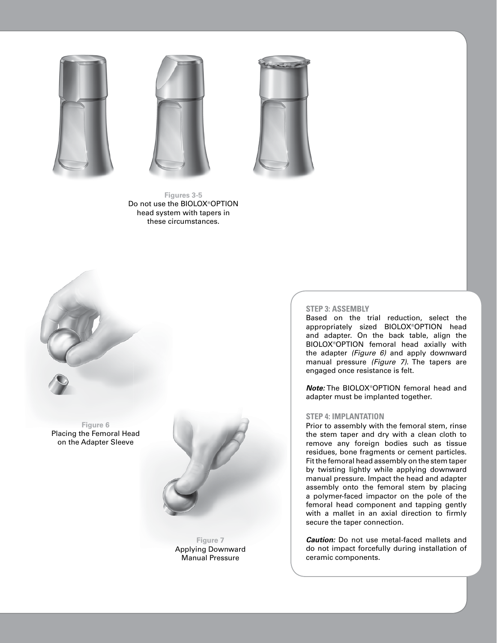





**Figures 3-5** Do not use the BIOLOX®OPTION head system with tapers in these circumstances.



**Figure 6** Placing the Femoral Head on the Adapter Sleeve



**Figure 7** Applying Downward Manual Pressure

#### **STEP 3: ASSEMBLY**

Based on the trial reduction, select the appropriately sized BIOLOX®OPTION head and adapter. On the back table, align the BIOLOX®OPTION femoral head axially with the adapter *(Figure 6)* and apply downward manual pressure *(Figure 7).* The tapers are engaged once resistance is felt.

*Note:* The BIOLOX®OPTION femoral head and adapter must be implanted together.

#### **STEP 4: IMPLANTATION**

Prior to assembly with the femoral stem, rinse the stem taper and dry with a clean cloth to remove any foreign bodies such as tissue residues, bone fragments or cement particles. Fit the femoral head assembly on the stem taper by twisting lightly while applying downward manual pressure. Impact the head and adapter assembly onto the femoral stem by placing a polymer-faced impactor on the pole of the femoral head component and tapping gently with a mallet in an axial direction to firmly secure the taper connection.

*Caution:* Do not use metal-faced mallets and do not impact forcefully during installation of ceramic components.